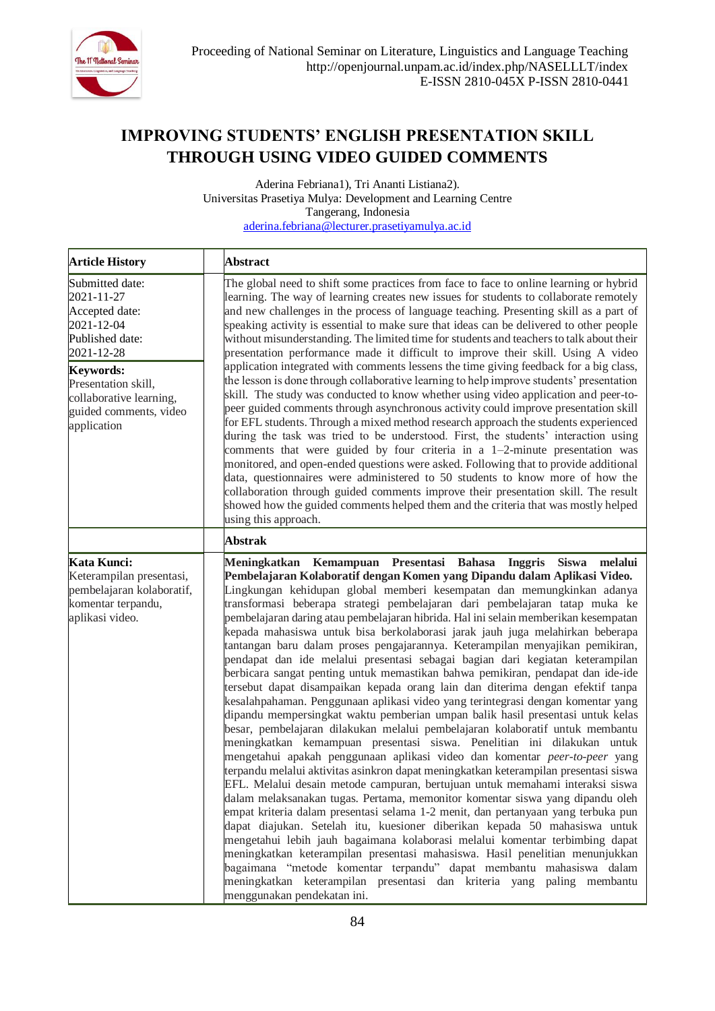

# **IMPROVING STUDENTS' ENGLISH PRESENTATION SKILL THROUGH USING VIDEO GUIDED COMMENTS**

Aderina Febriana1), Tri Ananti Listiana2). Universitas Prasetiya Mulya: Development and Learning Centre Tangerang, Indonesia [aderina.febriana@lecturer.prasetiyamulya.ac.id](mailto:aderina.febriana@lecturer.prasetiyamulya.ac.id)

| <b>Article History</b>                                                                                                                                                                                        | <b>Abstract</b>                                                                                                                                                                                                                                                                                                                                                                                                                                                                                                                                                                                                                                                                                                                                                                                                                                                                                                                                                                                                                                                                                                                                                                                                                                                                                                                                                                                                                                                                                                                                                                                                                                                                                                                                                                                                                                                                                                                                                                                                       |
|---------------------------------------------------------------------------------------------------------------------------------------------------------------------------------------------------------------|-----------------------------------------------------------------------------------------------------------------------------------------------------------------------------------------------------------------------------------------------------------------------------------------------------------------------------------------------------------------------------------------------------------------------------------------------------------------------------------------------------------------------------------------------------------------------------------------------------------------------------------------------------------------------------------------------------------------------------------------------------------------------------------------------------------------------------------------------------------------------------------------------------------------------------------------------------------------------------------------------------------------------------------------------------------------------------------------------------------------------------------------------------------------------------------------------------------------------------------------------------------------------------------------------------------------------------------------------------------------------------------------------------------------------------------------------------------------------------------------------------------------------------------------------------------------------------------------------------------------------------------------------------------------------------------------------------------------------------------------------------------------------------------------------------------------------------------------------------------------------------------------------------------------------------------------------------------------------------------------------------------------------|
| Submitted date:<br>2021-11-27<br>Accepted date:<br>2021-12-04<br>Published date:<br>2021-12-28<br><b>Keywords:</b><br>Presentation skill,<br>collaborative learning,<br>guided comments, video<br>application | The global need to shift some practices from face to face to online learning or hybrid<br>learning. The way of learning creates new issues for students to collaborate remotely<br>and new challenges in the process of language teaching. Presenting skill as a part of<br>speaking activity is essential to make sure that ideas can be delivered to other people<br>without misunderstanding. The limited time for students and teachers to talk about their<br>presentation performance made it difficult to improve their skill. Using A video<br>application integrated with comments lessens the time giving feedback for a big class,<br>the lesson is done through collaborative learning to help improve students' presentation<br>skill. The study was conducted to know whether using video application and peer-to-<br>peer guided comments through asynchronous activity could improve presentation skill<br>for EFL students. Through a mixed method research approach the students experienced<br>during the task was tried to be understood. First, the students' interaction using<br>comments that were guided by four criteria in a 1-2-minute presentation was<br>monitored, and open-ended questions were asked. Following that to provide additional<br>data, questionnaires were administered to 50 students to know more of how the<br>collaboration through guided comments improve their presentation skill. The result<br>showed how the guided comments helped them and the criteria that was mostly helped<br>using this approach.                                                                                                                                                                                                                                                                                                                                                                                                                                                      |
|                                                                                                                                                                                                               | <b>Abstrak</b>                                                                                                                                                                                                                                                                                                                                                                                                                                                                                                                                                                                                                                                                                                                                                                                                                                                                                                                                                                                                                                                                                                                                                                                                                                                                                                                                                                                                                                                                                                                                                                                                                                                                                                                                                                                                                                                                                                                                                                                                        |
| Kata Kunci:<br>Keterampilan presentasi,<br>pembelajaran kolaboratif,<br>komentar terpandu,<br>aplikasi video.                                                                                                 | Meningkatkan Kemampuan Presentasi Bahasa<br>Inggris Siswa<br>melalui<br>Pembelajaran Kolaboratif dengan Komen yang Dipandu dalam Aplikasi Video.<br>Lingkungan kehidupan global memberi kesempatan dan memungkinkan adanya<br>transformasi beberapa strategi pembelajaran dari pembelajaran tatap muka ke<br>pembelajaran daring atau pembelajaran hibrida. Hal ini selain memberikan kesempatan<br>kepada mahasiswa untuk bisa berkolaborasi jarak jauh juga melahirkan beberapa<br>tantangan baru dalam proses pengajarannya. Keterampilan menyajikan pemikiran,<br>pendapat dan ide melalui presentasi sebagai bagian dari kegiatan keterampilan<br>berbicara sangat penting untuk memastikan bahwa pemikiran, pendapat dan ide-ide<br>tersebut dapat disampaikan kepada orang lain dan diterima dengan efektif tanpa<br>kesalahpahaman. Penggunaan aplikasi video yang terintegrasi dengan komentar yang<br>dipandu mempersingkat waktu pemberian umpan balik hasil presentasi untuk kelas<br>besar, pembelajaran dilakukan melalui pembelajaran kolaboratif untuk membantu<br>meningkatkan kemampuan presentasi siswa. Penelitian ini dilakukan untuk<br>mengetahui apakah penggunaan aplikasi video dan komentar peer-to-peer yang<br>terpandu melalui aktivitas asinkron dapat meningkatkan keterampilan presentasi siswa<br>EFL. Melalui desain metode campuran, bertujuan untuk memahami interaksi siswa<br>dalam melaksanakan tugas. Pertama, memonitor komentar siswa yang dipandu oleh<br>empat kriteria dalam presentasi selama 1-2 menit, dan pertanyaan yang terbuka pun<br>dapat diajukan. Setelah itu, kuesioner diberikan kepada 50 mahasiswa untuk<br>mengetahui lebih jauh bagaimana kolaborasi melalui komentar terbimbing dapat<br>meningkatkan keterampilan presentasi mahasiswa. Hasil penelitian menunjukkan<br>bagaimana "metode komentar terpandu" dapat membantu mahasiswa dalam<br>meningkatkan keterampilan presentasi dan kriteria yang paling membantu<br>menggunakan pendekatan ini. |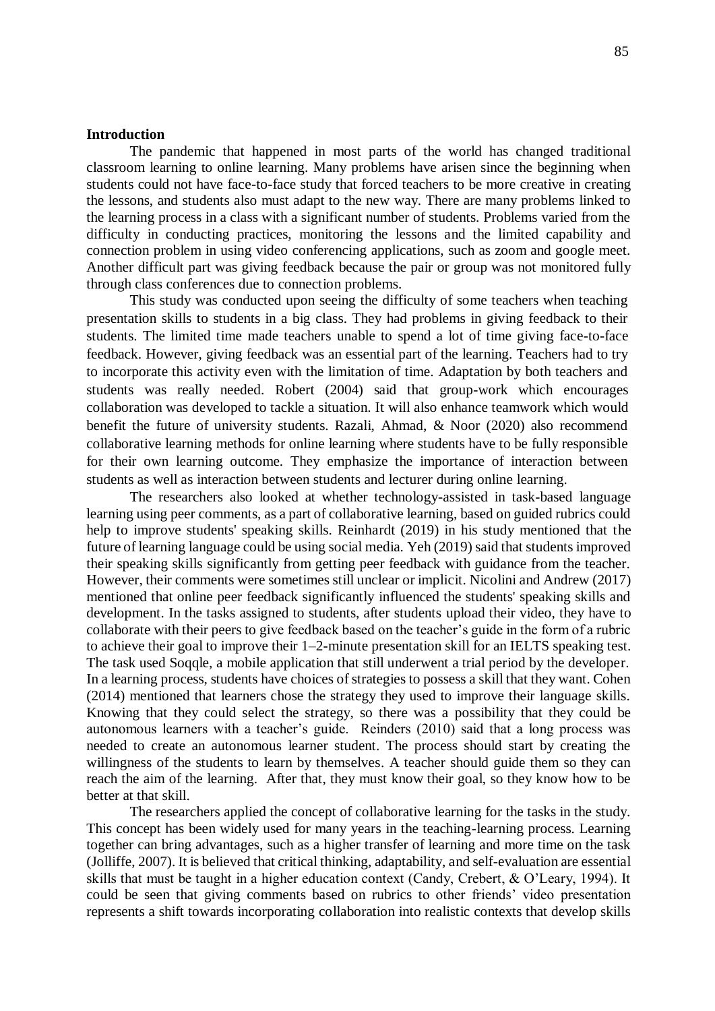#### **Introduction**

The pandemic that happened in most parts of the world has changed traditional classroom learning to online learning. Many problems have arisen since the beginning when students could not have face-to-face study that forced teachers to be more creative in creating the lessons, and students also must adapt to the new way. There are many problems linked to the learning process in a class with a significant number of students. Problems varied from the difficulty in conducting practices, monitoring the lessons and the limited capability and connection problem in using video conferencing applications, such as zoom and google meet. Another difficult part was giving feedback because the pair or group was not monitored fully through class conferences due to connection problems.

This study was conducted upon seeing the difficulty of some teachers when teaching presentation skills to students in a big class. They had problems in giving feedback to their students. The limited time made teachers unable to spend a lot of time giving face-to-face feedback. However, giving feedback was an essential part of the learning. Teachers had to try to incorporate this activity even with the limitation of time. Adaptation by both teachers and students was really needed. Robert (2004) said that group-work which encourages collaboration was developed to tackle a situation. It will also enhance teamwork which would benefit the future of university students. Razali, Ahmad, & Noor (2020) also recommend collaborative learning methods for online learning where students have to be fully responsible for their own learning outcome. They emphasize the importance of interaction between students as well as interaction between students and lecturer during online learning.

The researchers also looked at whether technology-assisted in task-based language learning using peer comments, as a part of collaborative learning, based on guided rubrics could help to improve students' speaking skills. Reinhardt (2019) in his study mentioned that the future of learning language could be using social media. Yeh (2019) said that students improved their speaking skills significantly from getting peer feedback with guidance from the teacher. However, their comments were sometimes still unclear or implicit. Nicolini and Andrew (2017) mentioned that online peer feedback significantly influenced the students' speaking skills and development. In the tasks assigned to students, after students upload their video, they have to collaborate with their peers to give feedback based on the teacher's guide in the form of a rubric to achieve their goal to improve their 1–2-minute presentation skill for an IELTS speaking test. The task used Soqqle, a mobile application that still underwent a trial period by the developer. In a learning process, students have choices of strategies to possess a skill that they want. Cohen (2014) mentioned that learners chose the strategy they used to improve their language skills. Knowing that they could select the strategy, so there was a possibility that they could be autonomous learners with a teacher's guide. Reinders (2010) said that a long process was needed to create an autonomous learner student. The process should start by creating the willingness of the students to learn by themselves. A teacher should guide them so they can reach the aim of the learning. After that, they must know their goal, so they know how to be better at that skill.

The researchers applied the concept of collaborative learning for the tasks in the study. This concept has been widely used for many years in the teaching-learning process. Learning together can bring advantages, such as a higher transfer of learning and more time on the task (Jolliffe, 2007). It is believed that critical thinking, adaptability, and self-evaluation are essential skills that must be taught in a higher education context (Candy, Crebert, & O'Leary, 1994). It could be seen that giving comments based on rubrics to other friends' video presentation represents a shift towards incorporating collaboration into realistic contexts that develop skills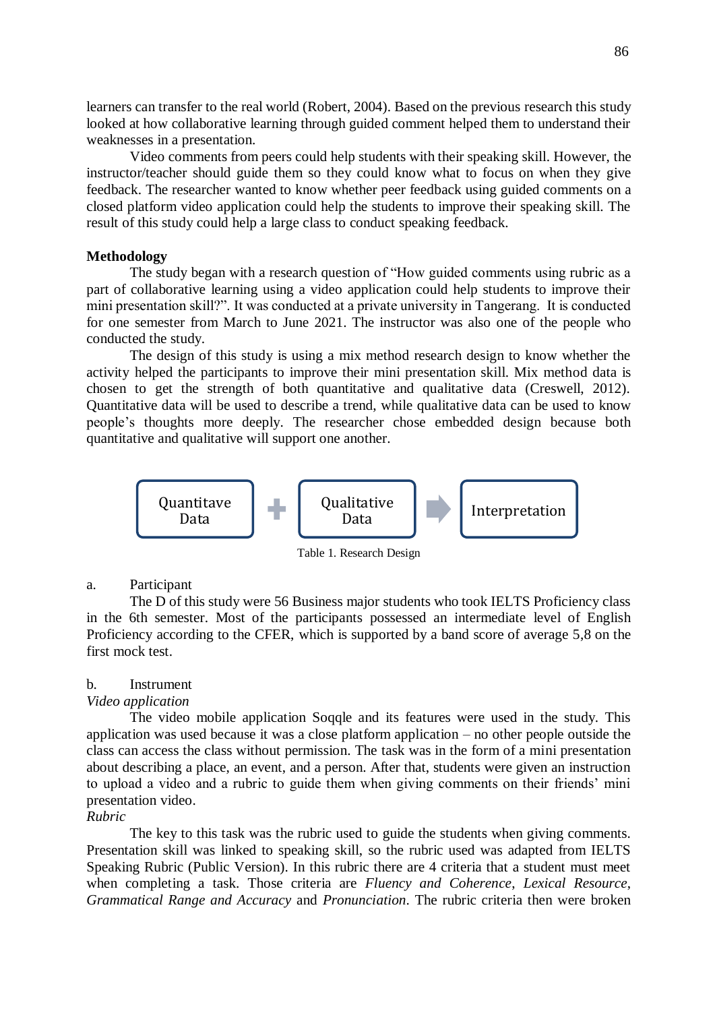learners can transfer to the real world (Robert, 2004). Based on the previous research this study looked at how collaborative learning through guided comment helped them to understand their weaknesses in a presentation.

Video comments from peers could help students with their speaking skill. However, the instructor/teacher should guide them so they could know what to focus on when they give feedback. The researcher wanted to know whether peer feedback using guided comments on a closed platform video application could help the students to improve their speaking skill. The result of this study could help a large class to conduct speaking feedback.

#### **Methodology**

The study began with a research question of "How guided comments using rubric as a part of collaborative learning using a video application could help students to improve their mini presentation skill?". It was conducted at a private university in Tangerang. It is conducted for one semester from March to June 2021. The instructor was also one of the people who conducted the study.

The design of this study is using a mix method research design to know whether the activity helped the participants to improve their mini presentation skill. Mix method data is chosen to get the strength of both quantitative and qualitative data (Creswell, 2012). Quantitative data will be used to describe a trend, while qualitative data can be used to know people's thoughts more deeply. The researcher chose embedded design because both quantitative and qualitative will support one another.



Table 1. Research Design

### a. Participant

The D of this study were 56 Business major students who took IELTS Proficiency class in the 6th semester. Most of the participants possessed an intermediate level of English Proficiency according to the CFER, which is supported by a band score of average 5,8 on the first mock test.

#### b. Instrument

#### *Video application*

The video mobile application Soqqle and its features were used in the study. This application was used because it was a close platform application – no other people outside the class can access the class without permission. The task was in the form of a mini presentation about describing a place, an event, and a person. After that, students were given an instruction to upload a video and a rubric to guide them when giving comments on their friends' mini presentation video.

#### *Rubric*

The key to this task was the rubric used to guide the students when giving comments. Presentation skill was linked to speaking skill, so the rubric used was adapted from IELTS Speaking Rubric (Public Version). In this rubric there are 4 criteria that a student must meet when completing a task. Those criteria are *Fluency and Coherence*, *Lexical Resource*, *Grammatical Range and Accuracy* and *Pronunciation*. The rubric criteria then were broken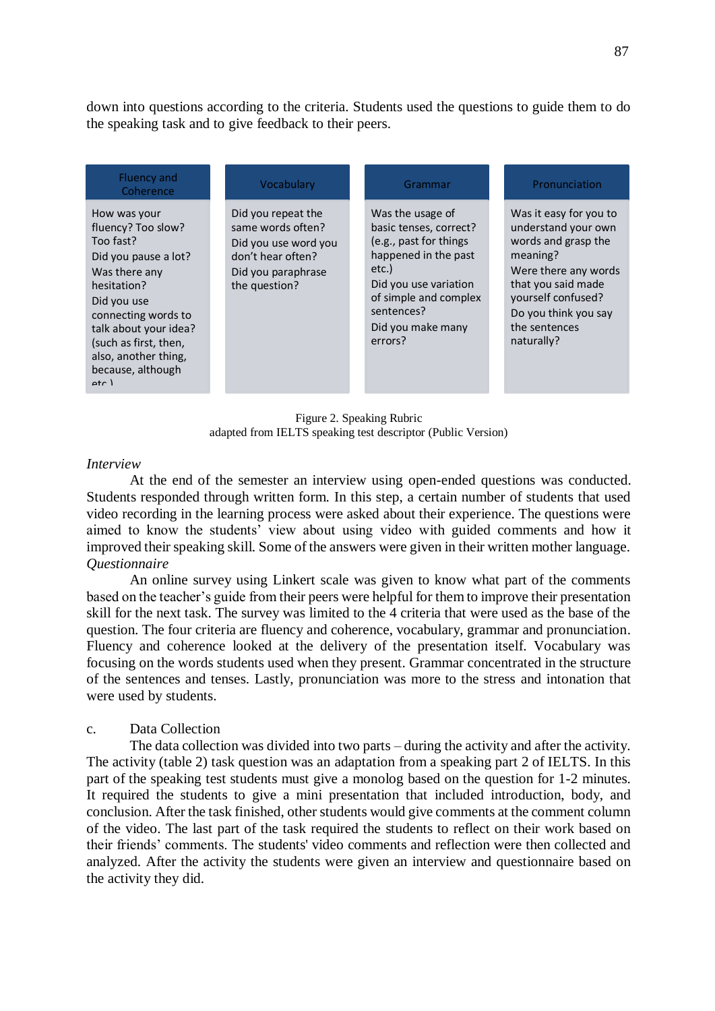down into questions according to the criteria. Students used the questions to guide them to do the speaking task and to give feedback to their peers.

| Was the usage of<br>Did you repeat the<br>Was it easy for you to<br>How was your<br>same words often?<br>fluency? Too slow?<br>understand your own<br>basic tenses, correct?<br>Too fast?<br>words and grasp the<br>(e.g., past for things<br>Did you use word you<br>happened in the past<br>meaning?<br>don't hear often?<br>Did you pause a lot?<br>etc.)<br>Were there any words<br>Was there any<br>Did you paraphrase<br>that you said made<br>Did you use variation<br>the question?<br>hesitation?<br>of simple and complex<br>yourself confused?<br>Did you use<br>sentences?<br>Do you think you say<br>connecting words to<br>the sentences<br>Did you make many<br>talk about your idea?<br>errors?<br>naturally?<br>(such as first, then,<br>also, another thing,<br>because, although<br>$\rho$ tr $\lambda$ |
|----------------------------------------------------------------------------------------------------------------------------------------------------------------------------------------------------------------------------------------------------------------------------------------------------------------------------------------------------------------------------------------------------------------------------------------------------------------------------------------------------------------------------------------------------------------------------------------------------------------------------------------------------------------------------------------------------------------------------------------------------------------------------------------------------------------------------|
|                                                                                                                                                                                                                                                                                                                                                                                                                                                                                                                                                                                                                                                                                                                                                                                                                            |

Figure 2. Speaking Rubric adapted from IELTS speaking test descriptor (Public Version)

#### *Interview*

At the end of the semester an interview using open-ended questions was conducted. Students responded through written form. In this step, a certain number of students that used video recording in the learning process were asked about their experience. The questions were aimed to know the students' view about using video with guided comments and how it improved their speaking skill. Some of the answers were given in their written mother language. *Questionnaire*

An online survey using Linkert scale was given to know what part of the comments based on the teacher's guide from their peers were helpful for them to improve their presentation skill for the next task. The survey was limited to the 4 criteria that were used as the base of the question. The four criteria are fluency and coherence, vocabulary, grammar and pronunciation. Fluency and coherence looked at the delivery of the presentation itself. Vocabulary was focusing on the words students used when they present. Grammar concentrated in the structure of the sentences and tenses. Lastly, pronunciation was more to the stress and intonation that were used by students.

## c. Data Collection

The data collection was divided into two parts – during the activity and after the activity. The activity (table 2) task question was an adaptation from a speaking part 2 of IELTS. In this part of the speaking test students must give a monolog based on the question for 1-2 minutes. It required the students to give a mini presentation that included introduction, body, and conclusion. After the task finished, other students would give comments at the comment column of the video. The last part of the task required the students to reflect on their work based on their friends' comments. The students' video comments and reflection were then collected and analyzed. After the activity the students were given an interview and questionnaire based on the activity they did.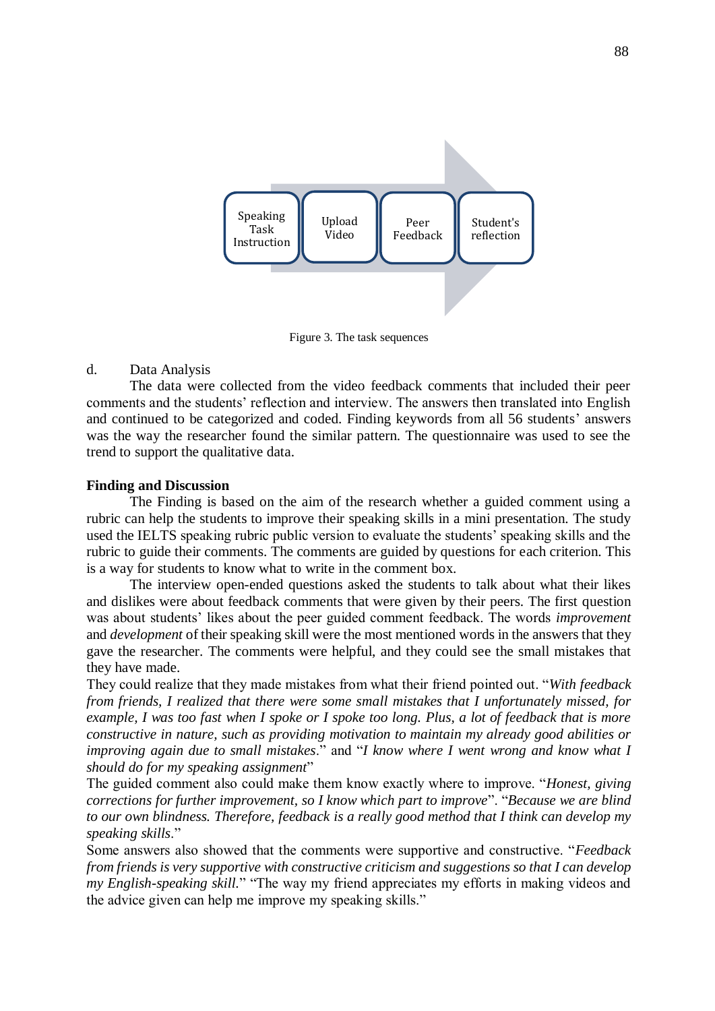

Figure 3. The task sequences

## d. Data Analysis

The data were collected from the video feedback comments that included their peer comments and the students' reflection and interview. The answers then translated into English and continued to be categorized and coded. Finding keywords from all 56 students' answers was the way the researcher found the similar pattern. The questionnaire was used to see the trend to support the qualitative data.

## **Finding and Discussion**

The Finding is based on the aim of the research whether a guided comment using a rubric can help the students to improve their speaking skills in a mini presentation. The study used the IELTS speaking rubric public version to evaluate the students' speaking skills and the rubric to guide their comments. The comments are guided by questions for each criterion. This is a way for students to know what to write in the comment box.

The interview open-ended questions asked the students to talk about what their likes and dislikes were about feedback comments that were given by their peers. The first question was about students' likes about the peer guided comment feedback. The words *improvement* and *development* of their speaking skill were the most mentioned words in the answers that they gave the researcher. The comments were helpful, and they could see the small mistakes that they have made.

They could realize that they made mistakes from what their friend pointed out. "*With feedback from friends, I realized that there were some small mistakes that I unfortunately missed, for example, I was too fast when I spoke or I spoke too long. Plus, a lot of feedback that is more constructive in nature, such as providing motivation to maintain my already good abilities or improving again due to small mistakes*." and "*I know where I went wrong and know what I should do for my speaking assignment*"

The guided comment also could make them know exactly where to improve. "*Honest, giving corrections for further improvement, so I know which part to improve*". "*Because we are blind to our own blindness. Therefore, feedback is a really good method that I think can develop my speaking skills*."

Some answers also showed that the comments were supportive and constructive. "*Feedback from friends is very supportive with constructive criticism and suggestions so that I can develop my English-speaking skill.*" "The way my friend appreciates my efforts in making videos and the advice given can help me improve my speaking skills."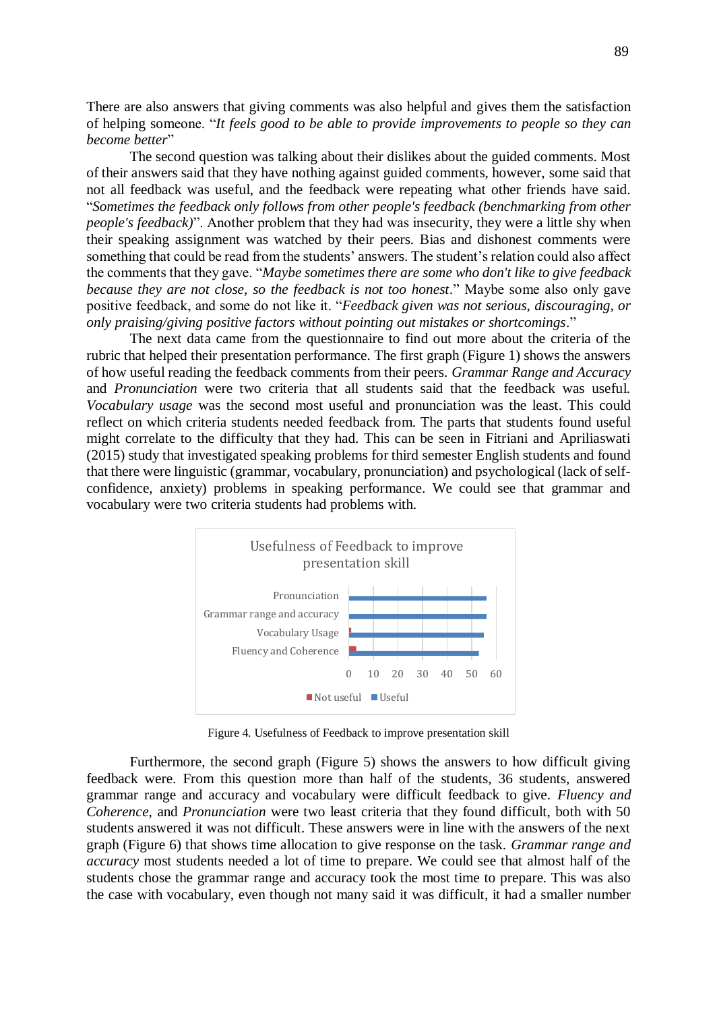There are also answers that giving comments was also helpful and gives them the satisfaction of helping someone. "*It feels good to be able to provide improvements to people so they can become better*"

The second question was talking about their dislikes about the guided comments. Most of their answers said that they have nothing against guided comments, however, some said that not all feedback was useful, and the feedback were repeating what other friends have said. "*Sometimes the feedback only follows from other people's feedback (benchmarking from other people's feedback)*". Another problem that they had was insecurity, they were a little shy when their speaking assignment was watched by their peers. Bias and dishonest comments were something that could be read from the students' answers. The student's relation could also affect the comments that they gave. "*Maybe sometimes there are some who don't like to give feedback because they are not close, so the feedback is not too honest*." Maybe some also only gave positive feedback, and some do not like it. "*Feedback given was not serious, discouraging, or only praising/giving positive factors without pointing out mistakes or shortcomings*."

The next data came from the questionnaire to find out more about the criteria of the rubric that helped their presentation performance. The first graph (Figure 1) shows the answers of how useful reading the feedback comments from their peers. *Grammar Range and Accuracy* and *Pronunciation* were two criteria that all students said that the feedback was useful. *Vocabulary usage* was the second most useful and pronunciation was the least. This could reflect on which criteria students needed feedback from. The parts that students found useful might correlate to the difficulty that they had. This can be seen in Fitriani and Apriliaswati (2015) study that investigated speaking problems for third semester English students and found that there were linguistic (grammar, vocabulary, pronunciation) and psychological (lack of selfconfidence, anxiety) problems in speaking performance. We could see that grammar and vocabulary were two criteria students had problems with.



Figure 4. Usefulness of Feedback to improve presentation skill

Furthermore, the second graph (Figure 5) shows the answers to how difficult giving feedback were. From this question more than half of the students, 36 students, answered grammar range and accuracy and vocabulary were difficult feedback to give. *Fluency and Coherence*, and *Pronunciation* were two least criteria that they found difficult, both with 50 students answered it was not difficult. These answers were in line with the answers of the next graph (Figure 6) that shows time allocation to give response on the task. *Grammar range and accuracy* most students needed a lot of time to prepare. We could see that almost half of the students chose the grammar range and accuracy took the most time to prepare. This was also the case with vocabulary, even though not many said it was difficult, it had a smaller number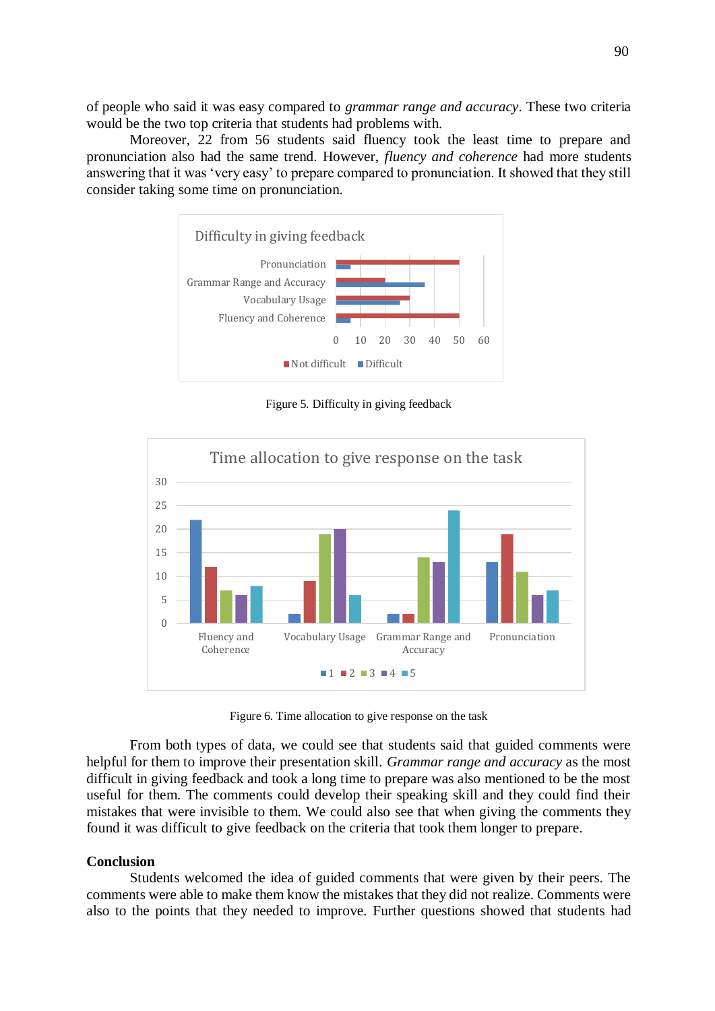of people who said it was easy compared to *grammar range and accuracy*. These two criteria would be the two top criteria that students had problems with.

Moreover, 22 from 56 students said fluency took the least time to prepare and pronunciation also had the same trend. However, *fluency and coherence* had more students answering that it was 'very easy' to prepare compared to pronunciation. It showed that they still consider taking some time on pronunciation.



Figure 5. Difficulty in giving feedback



Figure 6. Time allocation to give response on the task

From both types of data, we could see that students said that guided comments were helpful for them to improve their presentation skill. *Grammar range and accuracy* as the most difficult in giving feedback and took a long time to prepare was also mentioned to be the most useful for them. The comments could develop their speaking skill and they could find their mistakes that were invisible to them. We could also see that when giving the comments they found it was difficult to give feedback on the criteria that took them longer to prepare.

### **Conclusion**

Students welcomed the idea of guided comments that were given by their peers. The comments were able to make them know the mistakes that they did not realize. Comments were also to the points that they needed to improve. Further questions showed that students had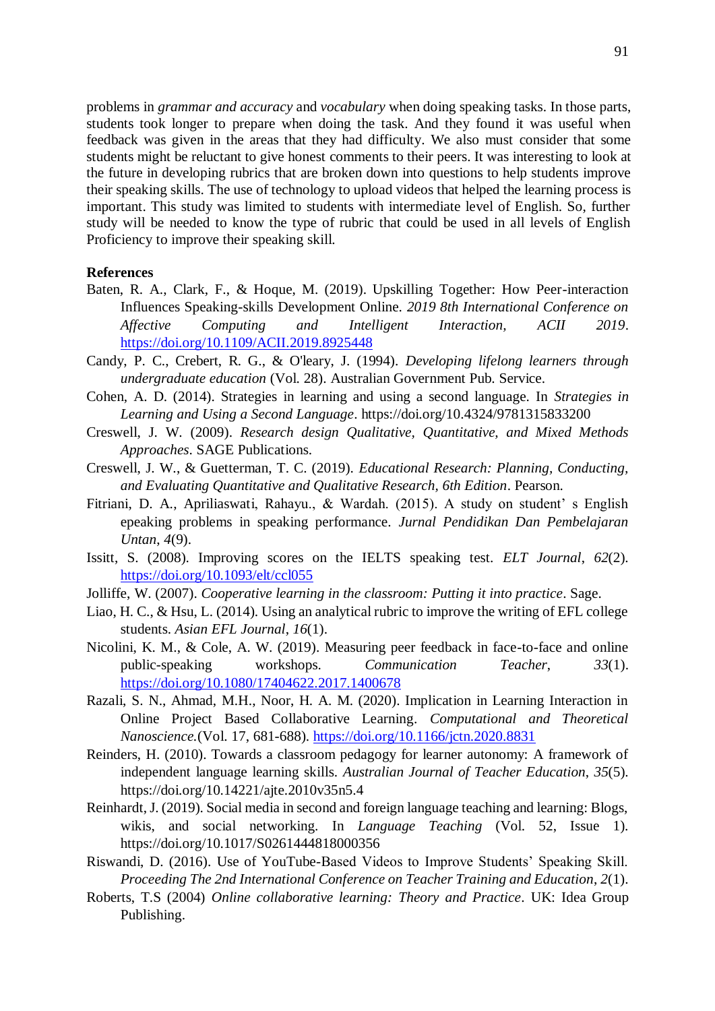problems in *grammar and accuracy* and *vocabulary* when doing speaking tasks. In those parts, students took longer to prepare when doing the task. And they found it was useful when feedback was given in the areas that they had difficulty. We also must consider that some students might be reluctant to give honest comments to their peers. It was interesting to look at the future in developing rubrics that are broken down into questions to help students improve their speaking skills. The use of technology to upload videos that helped the learning process is important. This study was limited to students with intermediate level of English. So, further study will be needed to know the type of rubric that could be used in all levels of English Proficiency to improve their speaking skill.

#### **References**

- Baten, R. A., Clark, F., & Hoque, M. (2019). Upskilling Together: How Peer-interaction Influences Speaking-skills Development Online. *2019 8th International Conference on Affective Computing and Intelligent Interaction, ACII 2019*. <https://doi.org/10.1109/ACII.2019.8925448>
- Candy, P. C., Crebert, R. G., & O'leary, J. (1994). *Developing lifelong learners through undergraduate education* (Vol. 28). Australian Government Pub. Service.
- Cohen, A. D. (2014). Strategies in learning and using a second language. In *Strategies in Learning and Using a Second Language*. https://doi.org/10.4324/9781315833200
- Creswell, J. W. (2009). *Research design Qualitative, Quantitative, and Mixed Methods Approaches*. SAGE Publications.
- Creswell, J. W., & Guetterman, T. C. (2019). *Educational Research: Planning, Conducting, and Evaluating Quantitative and Qualitative Research, 6th Edition*. Pearson.
- Fitriani, D. A., Apriliaswati, Rahayu., & Wardah. (2015). A study on student' s English epeaking problems in speaking performance. *Jurnal Pendidikan Dan Pembelajaran Untan*, *4*(9).
- Issitt, S. (2008). Improving scores on the IELTS speaking test. *ELT Journal*, *62*(2). <https://doi.org/10.1093/elt/ccl055>
- Jolliffe, W. (2007). *Cooperative learning in the classroom: Putting it into practice*. Sage.
- Liao, H. C., & Hsu, L. (2014). Using an analytical rubric to improve the writing of EFL college students. *Asian EFL Journal*, *16*(1).
- Nicolini, K. M., & Cole, A. W. (2019). Measuring peer feedback in face-to-face and online public-speaking workshops. *Communication Teacher*, *33*(1). <https://doi.org/10.1080/17404622.2017.1400678>
- Razali, S. N., Ahmad, M.H., Noor, H. A. M. (2020). Implication in Learning Interaction in Online Project Based Collaborative Learning. *Computational and Theoretical Nanoscience.*(Vol. 17, 681-688).<https://doi.org/10.1166/jctn.2020.8831>
- Reinders, H. (2010). Towards a classroom pedagogy for learner autonomy: A framework of independent language learning skills. *Australian Journal of Teacher Education*, *35*(5). https://doi.org/10.14221/ajte.2010v35n5.4
- Reinhardt, J. (2019). Social media in second and foreign language teaching and learning: Blogs, wikis, and social networking. In *Language Teaching* (Vol. 52, Issue 1). https://doi.org/10.1017/S0261444818000356
- Riswandi, D. (2016). Use of YouTube-Based Videos to Improve Students' Speaking Skill. *Proceeding The 2nd International Conference on Teacher Training and Education*, *2*(1).
- Roberts, T.S (2004) *Online collaborative learning: Theory and Practice*. UK: Idea Group Publishing.